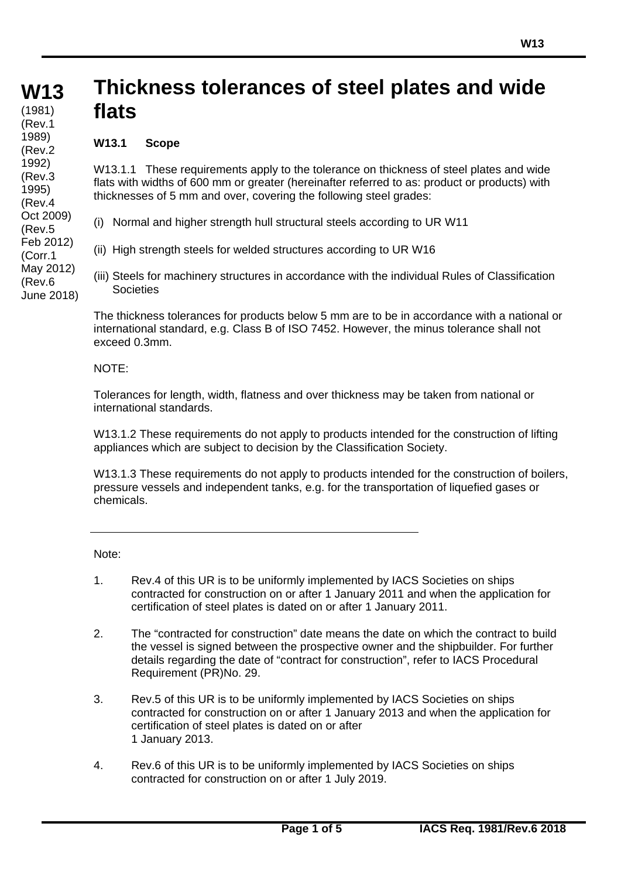#### **W13 W13 (cont)** (1981) **Thickness tolerances of steel plates and wide flats** (Rev.1

# **W13.1 Scope**

1989) (Rev.2 1992) (Rev.3 1995) (Rev.4 Oct 2009) (Rev.5 Feb 2012) (Corr.1 May 2012) (Rev.6 June 2018)

W13.1.1 These requirements apply to the tolerance on thickness of steel plates and wide flats with widths of 600 mm or greater (hereinafter referred to as: product or products) with thicknesses of 5 mm and over, covering the following steel grades:

(i) Normal and higher strength hull structural steels according to UR W11

- (ii) High strength steels for welded structures according to UR W16
- (iii) Steels for machinery structures in accordance with the individual Rules of Classification **Societies**

The thickness tolerances for products below 5 mm are to be in accordance with a national or international standard, e.g. Class B of ISO 7452. However, the minus tolerance shall not exceed 0.3mm.

## NOTE:

Tolerances for length, width, flatness and over thickness may be taken from national or international standards.

W13.1.2 These requirements do not apply to products intended for the construction of lifting appliances which are subject to decision by the Classification Society.

W13.1.3 These requirements do not apply to products intended for the construction of boilers, pressure vessels and independent tanks, e.g. for the transportation of liquefied gases or chemicals.

Note:

- 1. Rev.4 of this UR is to be uniformly implemented by IACS Societies on ships contracted for construction on or after 1 January 2011 and when the application for certification of steel plates is dated on or after 1 January 2011.
- 2. The "contracted for construction" date means the date on which the contract to build the vessel is signed between the prospective owner and the shipbuilder. For further details regarding the date of "contract for construction", refer to IACS Procedural Requirement (PR)No. 29.
- 3. Rev.5 of this UR is to be uniformly implemented by IACS Societies on ships contracted for construction on or after 1 January 2013 and when the application for certification of steel plates is dated on or after 1 January 2013.
- 4. Rev.6 of this UR is to be uniformly implemented by IACS Societies on ships contracted for construction on or after 1 July 2019.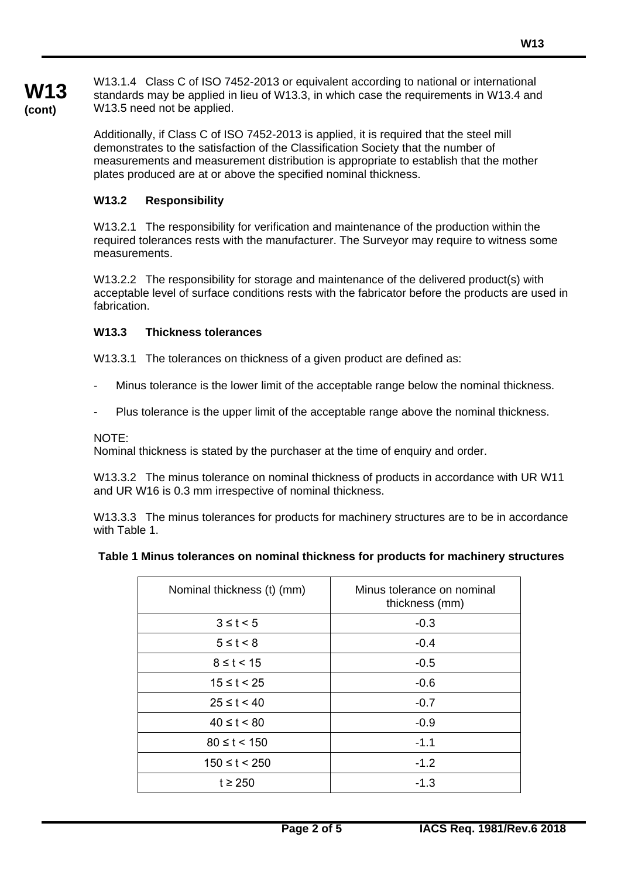**W13 (cont)**

W13.1.4 Class C of ISO 7452-2013 or equivalent according to national or international standards may be applied in lieu of W13.3, in which case the requirements in W13.4 and W13.5 need not be applied.

Additionally, if Class C of ISO 7452-2013 is applied, it is required that the steel mill demonstrates to the satisfaction of the Classification Society that the number of measurements and measurement distribution is appropriate to establish that the mother plates produced are at or above the specified nominal thickness.

# **W13.2 Responsibility**

W13.2.1 The responsibility for verification and maintenance of the production within the required tolerances rests with the manufacturer. The Surveyor may require to witness some measurements.

W13.2.2 The responsibility for storage and maintenance of the delivered product(s) with acceptable level of surface conditions rests with the fabricator before the products are used in fabrication.

# **W13.3 Thickness tolerances**

W13.3.1 The tolerances on thickness of a given product are defined as:

- Minus tolerance is the lower limit of the acceptable range below the nominal thickness.
- Plus tolerance is the upper limit of the acceptable range above the nominal thickness.

### NOTE:

Nominal thickness is stated by the purchaser at the time of enquiry and order.

W13.3.2 The minus tolerance on nominal thickness of products in accordance with UR W11 and UR W16 is 0.3 mm irrespective of nominal thickness.

W13.3.3 The minus tolerances for products for machinery structures are to be in accordance with Table 1.

#### **Table 1 Minus tolerances on nominal thickness for products for machinery structures**

| Nominal thickness (t) (mm) | Minus tolerance on nominal<br>thickness (mm) |
|----------------------------|----------------------------------------------|
| $3 \leq t < 5$             | $-0.3$                                       |
| $5 \leq t < 8$             | $-0.4$                                       |
| $8 \le t < 15$             | $-0.5$                                       |
| $15 \le t < 25$            | $-0.6$                                       |
| $25 \le t < 40$            | $-0.7$                                       |
| $40 \le t < 80$            | $-0.9$                                       |
| $80 \le t < 150$           | $-1.1$                                       |
| $150 \le t < 250$          | $-1.2$                                       |
| $t \geq 250$               | $-1.3$                                       |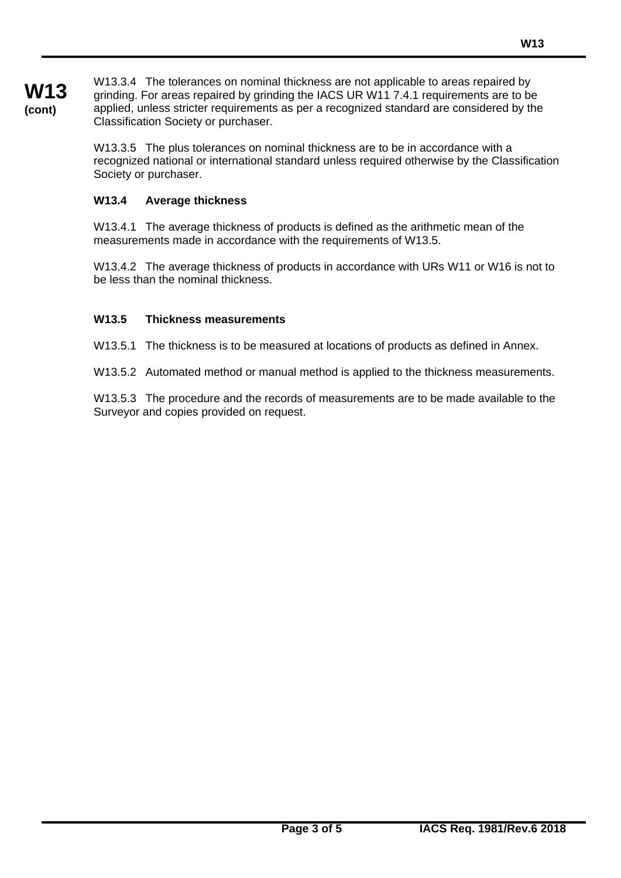W13.3.4 The tolerances on nominal thickness are not applicable to areas repaired by grinding. For areas repaired by grinding the IACS UR W11 7.4.1 requirements are to be applied, unless stricter requirements as per a recognized standard are considered by the Classification Society or purchaser.

W13.3.5 The plus tolerances on nominal thickness are to be in accordance with a recognized national or international standard unless required otherwise by the Classification Society or purchaser.

# **W13.4 Average thickness**

**W13 (cont)**

> W13.4.1 The average thickness of products is defined as the arithmetic mean of the measurements made in accordance with the requirements of W13.5.

W13.4.2 The average thickness of products in accordance with URs W11 or W16 is not to be less than the nominal thickness.

# **W13.5 Thickness measurements**

W13.5.1 The thickness is to be measured at locations of products as defined in Annex.

W13.5.2 Automated method or manual method is applied to the thickness measurements.

W13.5.3 The procedure and the records of measurements are to be made available to the Surveyor and copies provided on request.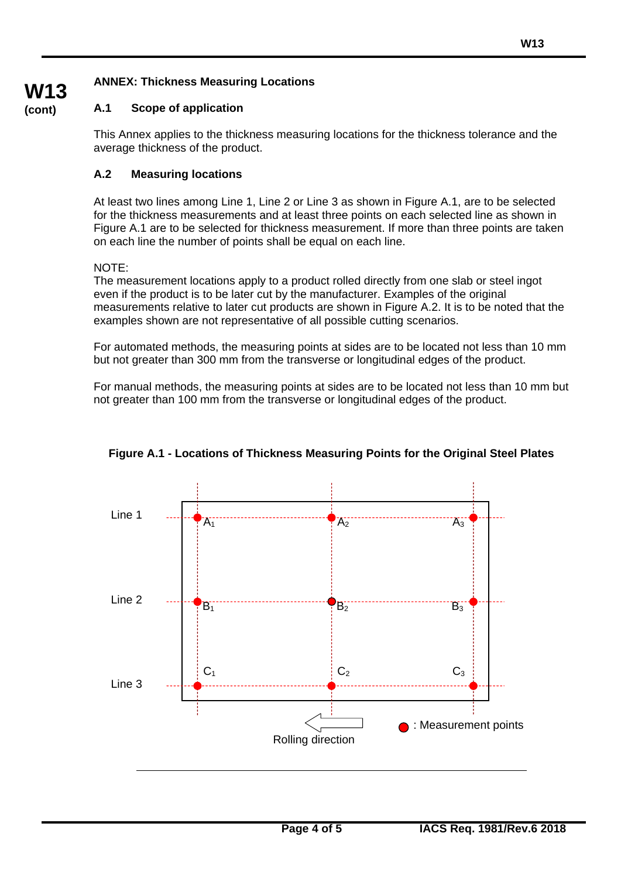# **ANNEX: Thickness Measuring Locations**

# **A.1 Scope of application**

This Annex applies to the thickness measuring locations for the thickness tolerance and the average thickness of the product.

# **A.2 Measuring locations**

At least two lines among Line 1, Line 2 or Line 3 as shown in Figure A.1, are to be selected for the thickness measurements and at least three points on each selected line as shown in Figure A.1 are to be selected for thickness measurement. If more than three points are taken on each line the number of points shall be equal on each line.

## NOTE:

**W13 (cont)**

> The measurement locations apply to a product rolled directly from one slab or steel ingot even if the product is to be later cut by the manufacturer. Examples of the original measurements relative to later cut products are shown in Figure A.2. It is to be noted that the examples shown are not representative of all possible cutting scenarios.

> For automated methods, the measuring points at sides are to be located not less than 10 mm but not greater than 300 mm from the transverse or longitudinal edges of the product.

> For manual methods, the measuring points at sides are to be located not less than 10 mm but not greater than 100 mm from the transverse or longitudinal edges of the product.



**Figure A.1 - Locations of Thickness Measuring Points for the Original Steel Plates**